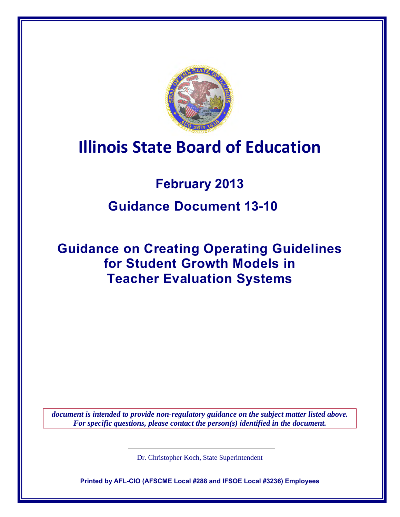

# **Illinois State Board of Education**

# **February 2013**

# **Guidance Document 13-10**

# **Guidance on Creating Operating Guidelines for Student Growth Models in Teacher Evaluation Systems**

*document is intended to provide non-regulatory guidance on the subject matter listed above. For specific questions, please contact the person(s) identified in the document.*

Dr. Christopher Koch, State Superintendent

**Printed by AFL-CIO (AFSCME Local #288 and IFSOE Local #3236) Employees**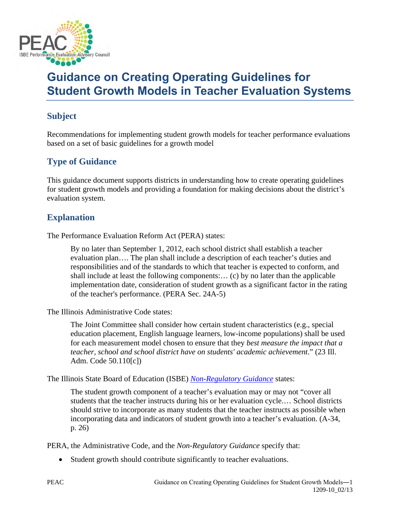

# **Guidance on Creating Operating Guidelines for Student Growth Models in Teacher Evaluation Systems**

### **Subject**

Recommendations for implementing student growth models for teacher performance evaluations based on a set of basic guidelines for a growth model

## **Type of Guidance**

This guidance document supports districts in understanding how to create operating guidelines for student growth models and providing a foundation for making decisions about the district's evaluation system.

### **Explanation**

The Performance Evaluation Reform Act (PERA) states:

By no later than September 1, 2012, each school district shall establish a teacher evaluation plan…. The plan shall include a description of each teacher's duties and responsibilities and of the standards to which that teacher is expected to conform, and shall include at least the following components:… (c) by no later than the applicable implementation date, consideration of student growth as a significant factor in the rating of the teacher's performance. (PERA Sec. 24A-5)

The Illinois Administrative Code states:

The Joint Committee shall consider how certain student characteristics (e.g., special education placement, English language learners, low-income populations) shall be used for each measurement model chosen to ensure that they *best measure the impact that a teacher, school and school district have on students' academic achievement*." (23 Ill. Adm. Code 50.110[c])

The Illinois State Board of Education (ISBE) *[Non-Regulatory Guidance](http://www.isbe.net/PERA/pdf/pera_guidance.pdf)* states:

The student growth component of a teacher's evaluation may or may not "cover all students that the teacher instructs during his or her evaluation cycle.… School districts should strive to incorporate as many students that the teacher instructs as possible when incorporating data and indicators of student growth into a teacher's evaluation. (A-34, p. 26)

PERA, the Administrative Code, and the *Non-Regulatory Guidance* specify that:

• Student growth should contribute significantly to teacher evaluations.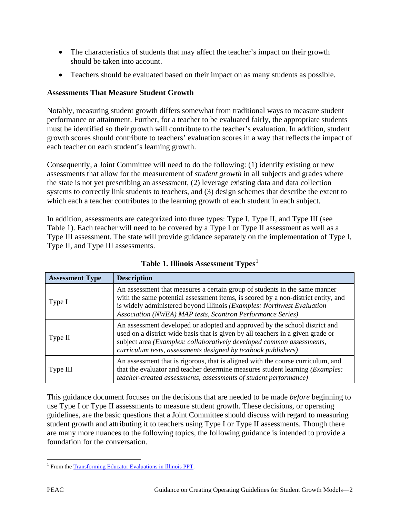- The characteristics of students that may affect the teacher's impact on their growth should be taken into account.
- Teachers should be evaluated based on their impact on as many students as possible.

#### **Assessments That Measure Student Growth**

Notably, measuring student growth differs somewhat from traditional ways to measure student performance or attainment. Further, for a teacher to be evaluated fairly, the appropriate students must be identified so their growth will contribute to the teacher's evaluation. In addition, student growth scores should contribute to teachers' evaluation scores in a way that reflects the impact of each teacher on each student's learning growth.

Consequently, a Joint Committee will need to do the following: (1) identify existing or new assessments that allow for the measurement of *student growth* in all subjects and grades where the state is not yet prescribing an assessment, (2) leverage existing data and data collection systems to correctly link students to teachers, and (3) design schemes that describe the extent to which each a teacher contributes to the learning growth of each student in each subject.

In addition, assessments are categorized into three types: Type I, Type II, and Type III (see Table 1). Each teacher will need to be covered by a Type I or Type II assessment as well as a Type III assessment. The state will provide guidance separately on the implementation of Type I, Type II, and Type III assessments.

| <b>Assessment Type</b> | <b>Description</b>                                                                                                                                                                                                                                                                                       |
|------------------------|----------------------------------------------------------------------------------------------------------------------------------------------------------------------------------------------------------------------------------------------------------------------------------------------------------|
| Type I                 | An assessment that measures a certain group of students in the same manner<br>with the same potential assessment items, is scored by a non-district entity, and<br>is widely administered beyond Illinois (Examples: Northwest Evaluation<br>Association (NWEA) MAP tests, Scantron Performance Series)  |
| Type II                | An assessment developed or adopted and approved by the school district and<br>used on a district-wide basis that is given by all teachers in a given grade or<br>subject area (Examples: collaboratively developed common assessments,<br>curriculum tests, assessments designed by textbook publishers) |
| Type III               | An assessment that is rigorous, that is aligned with the course curriculum, and<br>that the evaluator and teacher determine measures student learning (Examples:<br>teacher-created assessments, assessments of student performance)                                                                     |

**Table [1](#page-2-0). Illinois Assessment Types**<sup>1</sup>

This guidance document focuses on the decisions that are needed to be made *before* beginning to use Type I or Type II assessments to measure student growth. These decisions, or operating guidelines, are the basic questions that a Joint Committee should discuss with regard to measuring student growth and attributing it to teachers using Type I or Type II assessments. Though there are many more nuances to the following topics, the following guidance is intended to provide a foundation for the conversation.

<span id="page-2-0"></span> $\overline{\phantom{a}}$ <sup>1</sup> From the **Transforming Educator Evaluations in Illinois PPT**.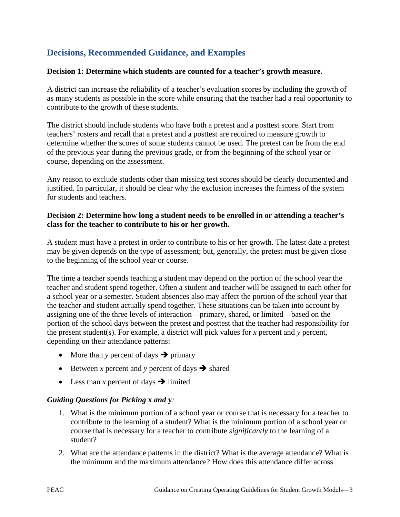## **Decisions, Recommended Guidance, and Examples**

#### **Decision 1: Determine which students are counted for a teacher's growth measure.**

A district can increase the reliability of a teacher's evaluation scores by including the growth of as many students as possible in the score while ensuring that the teacher had a real opportunity to contribute to the growth of these students.

The district should include students who have both a pretest and a posttest score. Start from teachers' rosters and recall that a pretest and a posttest are required to measure growth to determine whether the scores of some students cannot be used. The pretest can be from the end of the previous year during the previous grade, or from the beginning of the school year or course, depending on the assessment.

Any reason to exclude students other than missing test scores should be clearly documented and justified. In particular, it should be clear why the exclusion increases the fairness of the system for students and teachers.

#### **Decision 2: Determine how long a student needs to be enrolled in or attending a teacher's class for the teacher to contribute to his or her growth.**

A student must have a pretest in order to contribute to his or her growth. The latest date a pretest may be given depends on the type of assessment; but, generally, the pretest must be given close to the beginning of the school year or course.

The time a teacher spends teaching a student may depend on the portion of the school year the teacher and student spend together. Often a student and teacher will be assigned to each other for a school year or a semester. Student absences also may affect the portion of the school year that the teacher and student actually spend together. These situations can be taken into account by assigning one of the three levels of interaction—primary, shared, or limited—based on the portion of the school days between the pretest and posttest that the teacher had responsibility for the present student(s). For example, a district will pick values for *x* percent and *y* percent, depending on their attendance patterns:

- More than *y* percent of days  $\rightarrow$  primary
- Between *x* percent and *y* percent of days  $\rightarrow$  shared
- Less than *x* percent of days  $\rightarrow$  limited

#### *Guiding Questions for Picking* **x** *and* **y***:*

- 1. What is the minimum portion of a school year or course that is necessary for a teacher to contribute to the learning of a student? What is the minimum portion of a school year or course that is necessary for a teacher to contribute *significantly* to the learning of a student?
- 2. What are the attendance patterns in the district? What is the average attendance? What is the minimum and the maximum attendance? How does this attendance differ across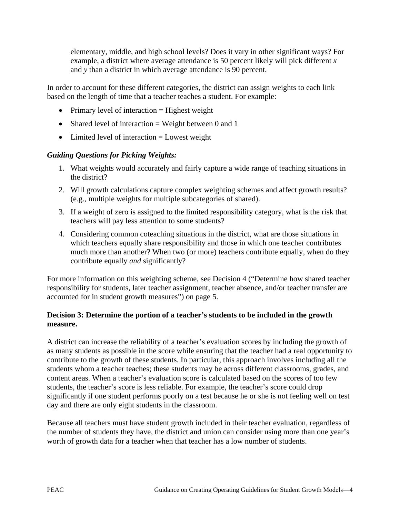elementary, middle, and high school levels? Does it vary in other significant ways? For example, a district where average attendance is 50 percent likely will pick different *x* and *y* than a district in which average attendance is 90 percent.

In order to account for these different categories, the district can assign weights to each link based on the length of time that a teacher teaches a student. For example:

- Primary level of interaction  $=$  Highest weight
- Shared level of interaction  $=$  Weight between 0 and 1
- Limited level of interaction = Lowest weight

#### *Guiding Questions for Picking Weights:*

- 1. What weights would accurately and fairly capture a wide range of teaching situations in the district?
- 2. Will growth calculations capture complex weighting schemes and affect growth results? (e.g., multiple weights for multiple subcategories of shared).
- 3. If a weight of zero is assigned to the limited responsibility category, what is the risk that teachers will pay less attention to some students?
- 4. Considering common coteaching situations in the district, what are those situations in which teachers equally share responsibility and those in which one teacher contributes much more than another? When two (or more) teachers contribute equally, when do they contribute equally *and* significantly?

For more information on this weighting scheme, see Decision 4 ("Determine how shared teacher responsibility for students, later teacher assignment, teacher absence, and/or teacher transfer are accounted for in student growth measures") on page 5.

#### **Decision 3: Determine the portion of a teacher's students to be included in the growth measure.**

A district can increase the reliability of a teacher's evaluation scores by including the growth of as many students as possible in the score while ensuring that the teacher had a real opportunity to contribute to the growth of these students. In particular, this approach involves including all the students whom a teacher teaches; these students may be across different classrooms, grades, and content areas. When a teacher's evaluation score is calculated based on the scores of too few students, the teacher's score is less reliable. For example, the teacher's score could drop significantly if one student performs poorly on a test because he or she is not feeling well on test day and there are only eight students in the classroom.

Because all teachers must have student growth included in their teacher evaluation, regardless of the number of students they have, the district and union can consider using more than one year's worth of growth data for a teacher when that teacher has a low number of students.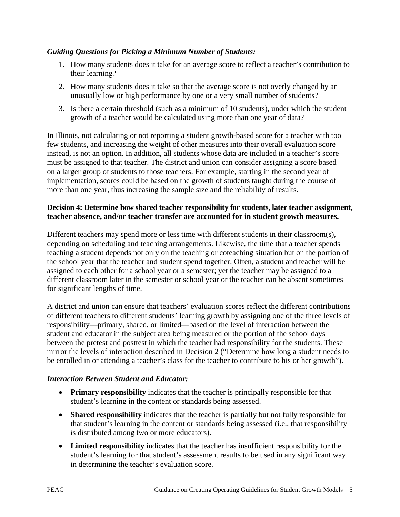#### *Guiding Questions for Picking a Minimum Number of Students:*

- 1. How many students does it take for an average score to reflect a teacher's contribution to their learning?
- 2. How many students does it take so that the average score is not overly changed by an unusually low or high performance by one or a very small number of students?
- 3. Is there a certain threshold (such as a minimum of 10 students), under which the student growth of a teacher would be calculated using more than one year of data?

In Illinois, not calculating or not reporting a student growth-based score for a teacher with too few students, and increasing the weight of other measures into their overall evaluation score instead, is not an option. In addition, all students whose data are included in a teacher's score must be assigned to that teacher. The district and union can consider assigning a score based on a larger group of students to those teachers. For example, starting in the second year of implementation, scores could be based on the growth of students taught during the course of more than one year, thus increasing the sample size and the reliability of results.

#### **Decision 4: Determine how shared teacher responsibility for students, later teacher assignment, teacher absence, and/or teacher transfer are accounted for in student growth measures.**

Different teachers may spend more or less time with different students in their classroom(s), depending on scheduling and teaching arrangements. Likewise, the time that a teacher spends teaching a student depends not only on the teaching or coteaching situation but on the portion of the school year that the teacher and student spend together. Often, a student and teacher will be assigned to each other for a school year or a semester; yet the teacher may be assigned to a different classroom later in the semester or school year or the teacher can be absent sometimes for significant lengths of time.

A district and union can ensure that teachers' evaluation scores reflect the different contributions of different teachers to different students' learning growth by assigning one of the three levels of responsibility—primary, shared, or limited—based on the level of interaction between the student and educator in the subject area being measured or the portion of the school days between the pretest and posttest in which the teacher had responsibility for the students. These mirror the levels of interaction described in Decision 2 ("Determine how long a student needs to be enrolled in or attending a teacher's class for the teacher to contribute to his or her growth").

#### *Interaction Between Student and Educator:*

- **Primary responsibility** indicates that the teacher is principally responsible for that student's learning in the content or standards being assessed.
- **Shared responsibility** indicates that the teacher is partially but not fully responsible for that student's learning in the content or standards being assessed (i.e., that responsibility is distributed among two or more educators).
- **Limited responsibility** indicates that the teacher has insufficient responsibility for the student's learning for that student's assessment results to be used in any significant way in determining the teacher's evaluation score.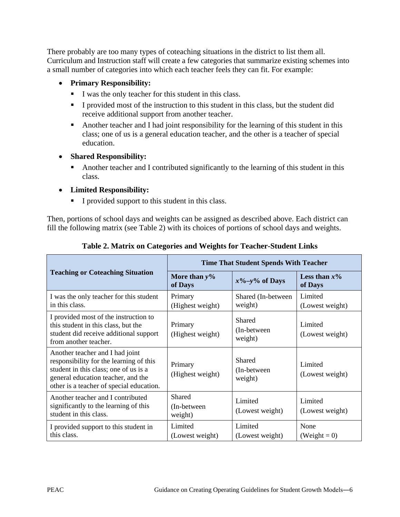There probably are too many types of coteaching situations in the district to list them all. Curriculum and Instruction staff will create a few categories that summarize existing schemes into a small number of categories into which each teacher feels they can fit. For example:

#### • **Primary Responsibility:**

- I was the only teacher for this student in this class.
- I provided most of the instruction to this student in this class, but the student did receive additional support from another teacher.
- Another teacher and I had joint responsibility for the learning of this student in this class; one of us is a general education teacher, and the other is a teacher of special education.

#### • **Shared Responsibility:**

- Another teacher and I contributed significantly to the learning of this student in this class.
- **Limited Responsibility:**
	- I provided support to this student in this class.

Then, portions of school days and weights can be assigned as described above. Each district can fill the following matrix (see Table 2) with its choices of portions of school days and weights.

|                                                                                                                                                                                                       | <b>Time That Student Spends With Teacher</b> |                                   |                            |  |
|-------------------------------------------------------------------------------------------------------------------------------------------------------------------------------------------------------|----------------------------------------------|-----------------------------------|----------------------------|--|
| <b>Teaching or Coteaching Situation</b>                                                                                                                                                               | More than $y\%$<br>of Days                   | $x\% - y\%$ of Days               | Less than $x\%$<br>of Days |  |
| I was the only teacher for this student<br>in this class.                                                                                                                                             | Primary<br>(Highest weight)                  | Shared (In-between)<br>weight)    | Limited<br>(Lowest weight) |  |
| I provided most of the instruction to<br>this student in this class, but the<br>student did receive additional support<br>from another teacher.                                                       | Primary<br>(Highest weight)                  | Shared<br>(In-between)<br>weight) | Limited<br>(Lowest weight) |  |
| Another teacher and I had joint<br>responsibility for the learning of this<br>student in this class; one of us is a<br>general education teacher, and the<br>other is a teacher of special education. | Primary<br>(Highest weight)                  | Shared<br>(In-between)<br>weight) | Limited<br>(Lowest weight) |  |
| Another teacher and I contributed<br>significantly to the learning of this<br>student in this class.                                                                                                  | Shared<br>(In-between)<br>weight)            | Limited<br>(Lowest weight)        | Limited<br>(Lowest weight) |  |
| I provided support to this student in<br>this class.                                                                                                                                                  | Limited<br>(Lowest weight)                   | Limited<br>(Lowest weight)        | None<br>$(Weight = 0)$     |  |

#### **Table 2. Matrix on Categories and Weights for Teacher-Student Links**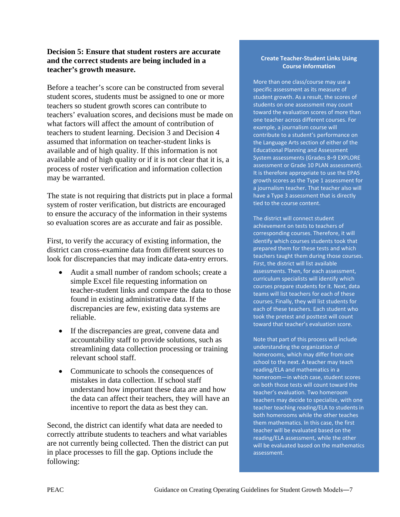#### **Decision 5: Ensure that student rosters are accurate and the correct students are being included in a teacher's growth measure.**

Before a teacher's score can be constructed from several student scores, students must be assigned to one or more teachers so student growth scores can contribute to teachers' evaluation scores, and decisions must be made on what factors will affect the amount of contribution of teachers to student learning. Decision 3 and Decision 4 assumed that information on teacher-student links is available and of high quality. If this information is not available and of high quality or if it is not clear that it is, a process of roster verification and information collection may be warranted.

The state is not requiring that districts put in place a formal system of roster verification, but districts are encouraged to ensure the accuracy of the information in their systems so evaluation scores are as accurate and fair as possible.

First, to verify the accuracy of existing information, the district can cross-examine data from different sources to look for discrepancies that may indicate data-entry errors.

- Audit a small number of random schools; create a simple Excel file requesting information on teacher-student links and compare the data to those found in existing administrative data. If the discrepancies are few, existing data systems are reliable.
- If the discrepancies are great, convene data and accountability staff to provide solutions, such as streamlining data collection processing or training relevant school staff.
- Communicate to schools the consequences of mistakes in data collection. If school staff understand how important these data are and how the data can affect their teachers, they will have an incentive to report the data as best they can.

Second, the district can identify what data are needed to correctly attribute students to teachers and what variables are not currently being collected. Then the district can put in place processes to fill the gap. Options include the following:

#### **Create Teacher-Student Links Using Course Information**

More than one class/course may use a specific assessment as its measure of student growth. As a result, the scores of students on one assessment may count toward the evaluation scores of more than one teacher across different courses. For example, a journalism course will contribute to a student's performance on the Language Arts section of either of the Educational Planning and Assessment System assessments (Grades 8–9 EXPLORE assessment or Grade 10 PLAN assessment). It is therefore appropriate to use the EPAS growth scores as the Type 1 assessment for a journalism teacher. That teacher also will have a Type 3 assessment that is directly tied to the course content.

The district will connect student achievement on tests to teachers of corresponding courses. Therefore, it will identify which courses students took that prepared them for these tests and which teachers taught them during those courses. First, the district will list available assessments. Then, for each assessment, curriculum specialists will identify which courses prepare students for it. Next, data teams will list teachers for each of these courses. Finally, they will list students for each of these teachers. Each student who took the pretest and posttest will count toward that teacher's evaluation score.

Note that part of this process will include understanding the organization of homerooms, which may differ from one school to the next. A teacher may teach reading/ELA and mathematics in a homeroom―in which case, student scores on both those tests will count toward the teacher's evaluation. Two homeroom teachers may decide to specialize, with one teacher teaching reading/ELA to students in both homerooms while the other teaches them mathematics. In this case, the first teacher will be evaluated based on the reading/ELA assessment, while the other will be evaluated based on the mathematics assessment.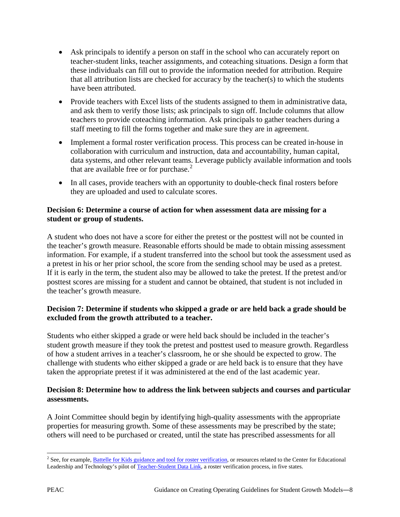- Ask principals to identify a person on staff in the school who can accurately report on teacher-student links, teacher assignments, and coteaching situations. Design a form that these individuals can fill out to provide the information needed for attribution. Require that all attribution lists are checked for accuracy by the teacher(s) to which the students have been attributed.
- Provide teachers with Excel lists of the students assigned to them in administrative data, and ask them to verify those lists; ask principals to sign off. Include columns that allow teachers to provide coteaching information. Ask principals to gather teachers during a staff meeting to fill the forms together and make sure they are in agreement.
- Implement a formal roster verification process. This process can be created in-house in collaboration with curriculum and instruction, data and accountability, human capital, data systems, and other relevant teams. Leverage publicly available information and tools that are available free or for purchase. $2$
- In all cases, provide teachers with an opportunity to double-check final rosters before they are uploaded and used to calculate scores.

#### **Decision 6: Determine a course of action for when assessment data are missing for a student or group of students.**

A student who does not have a score for either the pretest or the posttest will not be counted in the teacher's growth measure. Reasonable efforts should be made to obtain missing assessment information. For example, if a student transferred into the school but took the assessment used as a pretest in his or her prior school, the score from the sending school may be used as a pretest. If it is early in the term, the student also may be allowed to take the pretest. If the pretest and/or posttest scores are missing for a student and cannot be obtained, that student is not included in the teacher's growth measure.

#### **Decision 7: Determine if students who skipped a grade or are held back a grade should be excluded from the growth attributed to a teacher.**

Students who either skipped a grade or were held back should be included in the teacher's student growth measure if they took the pretest and posttest used to measure growth. Regardless of how a student arrives in a teacher's classroom, he or she should be expected to grow. The challenge with students who either skipped a grade or are held back is to ensure that they have taken the appropriate pretest if it was administered at the end of the last academic year.

#### **Decision 8: Determine how to address the link between subjects and courses and particular assessments.**

A Joint Committee should begin by identifying high-quality assessments with the appropriate properties for measuring growth. Some of these assessments may be prescribed by the state; others will need to be purchased or created, until the state has prescribed assessments for all

<span id="page-8-0"></span> $\overline{\phantom{a}}$ <sup>2</sup> See, for example, **Battelle for Kids guidance and tool for roster verification**, or resources related to the Center for Educational Leadership and Technology's pilot o[f Teacher-Student Data Link,](http://www.tsdl.org/) a roster verification process, in five states.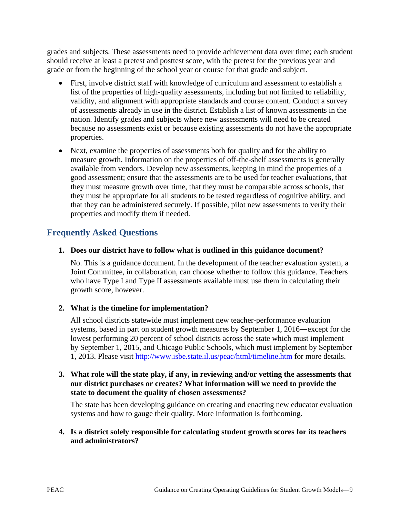grades and subjects. These assessments need to provide achievement data over time; each student should receive at least a pretest and posttest score, with the pretest for the previous year and grade or from the beginning of the school year or course for that grade and subject.

- First, involve district staff with knowledge of curriculum and assessment to establish a list of the properties of high-quality assessments, including but not limited to reliability, validity, and alignment with appropriate standards and course content. Conduct a survey of assessments already in use in the district. Establish a list of known assessments in the nation. Identify grades and subjects where new assessments will need to be created because no assessments exist or because existing assessments do not have the appropriate properties.
- Next, examine the properties of assessments both for quality and for the ability to measure growth. Information on the properties of off-the-shelf assessments is generally available from vendors. Develop new assessments, keeping in mind the properties of a good assessment; ensure that the assessments are to be used for teacher evaluations, that they must measure growth over time, that they must be comparable across schools, that they must be appropriate for all students to be tested regardless of cognitive ability, and that they can be administered securely. If possible, pilot new assessments to verify their properties and modify them if needed.

## **Frequently Asked Questions**

#### **1. Does our district have to follow what is outlined in this guidance document?**

No. This is a guidance document. In the development of the teacher evaluation system, a Joint Committee, in collaboration, can choose whether to follow this guidance. Teachers who have Type I and Type II assessments available must use them in calculating their growth score, however.

#### **2. What is the timeline for implementation?**

All school districts statewide must implement new teacher-performance evaluation systems, based in part on student growth measures by September 1, 2016―except for the lowest performing 20 percent of school districts across the state which must implement by September 1, 2015, and Chicago Public Schools, which must implement by September 1, 2013. Please visit<http://www.isbe.state.il.us/peac/html/timeline.htm> for more details.

#### **3. What role will the state play, if any, in reviewing and/or vetting the assessments that our district purchases or creates? What information will we need to provide the state to document the quality of chosen assessments?**

The state has been developing guidance on creating and enacting new educator evaluation systems and how to gauge their quality. More information is forthcoming.

#### **4. Is a district solely responsible for calculating student growth scores for its teachers and administrators?**